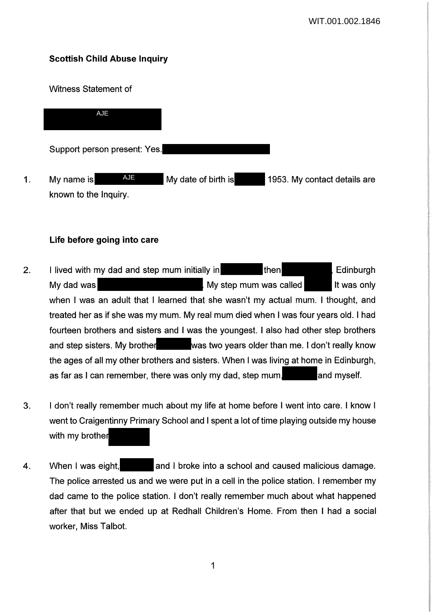# **Scottish Child Abuse Inquiry**

Witness Statement of

Support person present: Yes. 1. My name is AUE My date of birth is 1953. My contact details are known to the Inquiry. AJE AJE

## **Life before going into care**

- 2. I lived with my dad and step mum initially in then then Edinburgh My dad was **My step mum was called** It was only when I was an adult that I learned that she wasn't my actual mum. I thought, and treated her as if she was my mum. My real mum died when I was four years old. I had fourteen brothers and sisters and I was the youngest. I also had other step brothers and step sisters. My brother was two years older than me. I don't really know the ages of all my other brothers and sisters. When I was living at home in Edinburgh, as far as I can remember, there was only my dad, step mum, and myself.
- 3. I don't really remember much about my life at home before I went into care. I know I went to Craigentinny Primary School and I spent a lot of time playing outside my house with my brother
- 4. When I was eight, and I broke into a school and caused malicious damage. The police arrested us and we were put in a cell in the police station. I remember my dad came to the police station. I don't really remember much about what happened after that but we ended up at Redhall Children's Home. From then I had a social worker, Miss Talbot.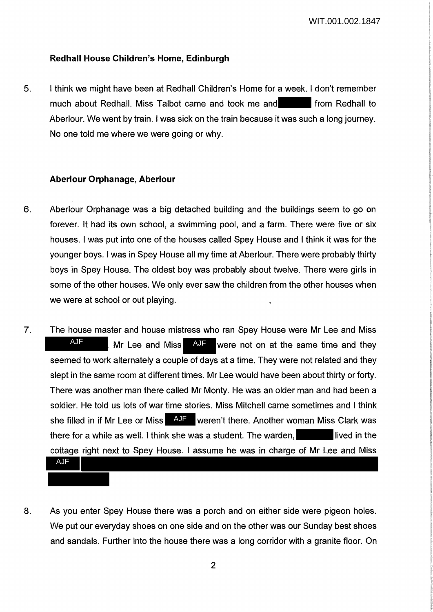#### **Redhall House Children's Home, Edinburgh**

5. I think we might have been at Redhall Children's Home for a week. I don't remember much about Redhall. Miss Talbot came and took me and from Redhall to Aberlour. We went by train. I was sick on the train because it was such a long journey. No one told me where we were going or why.

#### **Aberlour Orphanage, Aberlour**

- 6. Aberlour Orphanage was a big detached building and the buildings seem to go on forever. It had its own school, a swimming pool, and a farm. There were five or six houses. I was put into one of the houses called Spey House and I think it was for the younger boys. I was in Spey House all my time at Aberlour. There were probably thirty boys in Spey House. The oldest boy was probably about twelve. There were girls in some of the other houses. We only ever saw the children from the other houses when we were at school or out playing.
- 7. The house master and house mistress who ran Spey House were Mr Lee and Miss Mr Lee and Miss  $\overline{A}$  were not on at the same time and they seemed to work alternately a couple of days at a time. They were not related and they slept in the same room at different times. Mr Lee would have been about thirty or forty. There was another man there called Mr Monty. He was an older man and had been a soldier. He told us lots of war time stories. Miss Mitchell came sometimes and I think she filled in if Mr Lee or Miss **AJF** weren't there. Another woman Miss Clark was there for a while as well. I think she was a student. The warden,  $\blacksquare$  lived in the cottage right next to Spey House. I assume he was in charge of Mr Lee and Miss AJF AJF AJF
	-
- 8. As you enter Spey House there was a porch and on either side were pigeon holes. We put our everyday shoes on one side and on the other was our Sunday best shoes and sandals. Further into the house there was a long corridor with a granite floor. On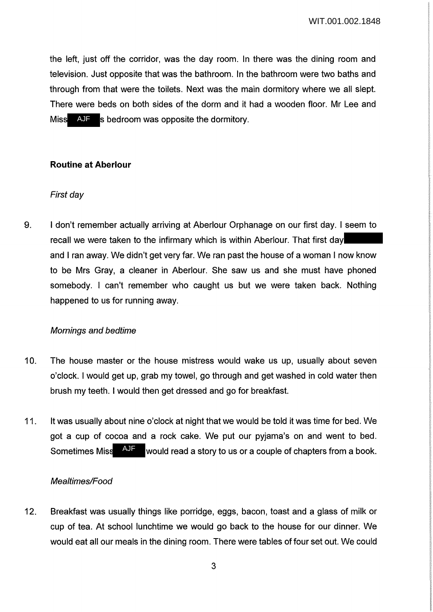the left, just off the corridor, was the day room. In there was the dining room and television. Just opposite that was the bathroom. In the bathroom were two baths and through from that were the toilets. Next was the main dormitory where we all slept. There were beds on both sides of the dorm and it had a wooden floor. Mr Lee and Miss AJF s bedroom was opposite the dormitory. AJF

## **Routine at Aberlour**

### First day

9. I don't remember actually arriving at Aberlour Orphanage on our first day. I seem to recall we were taken to the infirmary which is within Aberlour. That first day and I ran away. We didn't get very far. We ran past the house of a woman I now know to be Mrs Gray, a cleaner in Aberlour. She saw us and she must have phoned somebody. I can't remember who caught us but we were taken back. Nothing happened to us for running away.

#### Mornings and bedtime

- 10. The house master or the house mistress would wake us up, usually about seven o'clock. I would get up, grab my towel, go through and get washed in cold water then brush my teeth. I would then get dressed and go for breakfast.
- 11. It was usually about nine o'clock at night that we would be told it was time for bed. We got a cup of cocoa and a rock cake. We put our pyjama's on and went to bed. Sometimes Miss AJF would read a story to us or a couple of chapters from a book.

#### Mealtimes/Food

12. Breakfast was usually things like porridge, eggs, bacon, toast and a glass of milk or cup of tea. At school lunchtime we would go back to the house for our dinner. We would eat all our meals in the dining room. There were tables of four set out. We could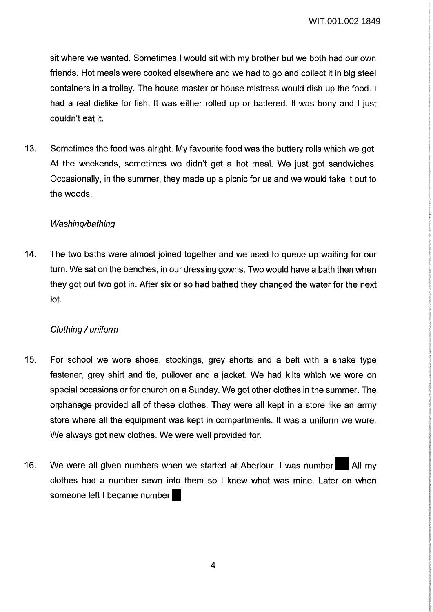sit where we wanted. Sometimes I would sit with my brother but we both had our own friends. Hot meals were cooked elsewhere and we had to go and collect it in big steel containers in a trolley. The house master or house mistress would dish up the food. I had a real dislike for fish. It was either rolled up or battered. It was bony and I just couldn't eat it.

13. Sometimes the food was alright. My favourite food was the buttery rolls which we got. At the weekends, sometimes we didn't get a hot meal. We just got sandwiches. Occasionally, in the summer, they made up a picnic for us and we would take it out to the woods.

### Washing/bathing

14. The two baths were almost joined together and we used to queue up waiting for our turn. We sat on the benches, in our dressing gowns. Two would have a bath then when they got out two got in. After six or so had bathed they changed the water for the next lot.

## Clothing / uniform

- 15. For school we wore shoes, stockings, grey shorts and a belt with a snake type fastener, grey shirt and tie, pullover and a jacket. We had kilts which we wore on special occasions or for church on a Sunday. We got other clothes in the summer. The orphanage provided all of these clothes. They were all kept in a store like an army store where all the equipment was kept in compartments. It was a uniform we wore. We always got new clothes. We were well provided for.
- 16. We were all given numbers when we started at Aberlour. I was number All my clothes had a number sewn into them so I knew what was mine. Later on when someone left I became number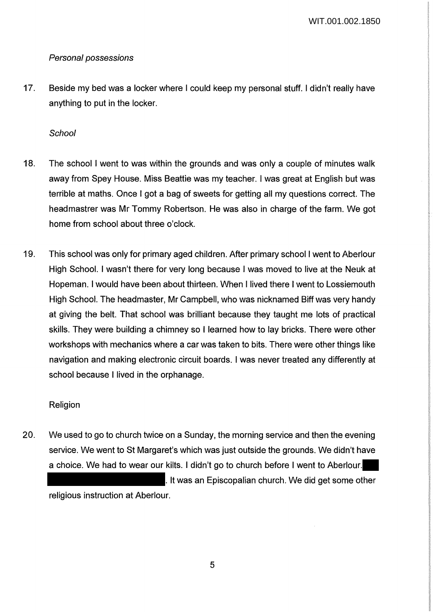## Personal possessions

17. Beside my bed was a locker where I could keep my personal stuff. I didn't really have anything to put in the locker.

## **School**

- 18. The school I went to was within the grounds and was only a couple of minutes walk away from Spey House. Miss Beattie was my teacher. I was great at English but was terrible at maths. Once I got a bag of sweets for getting all my questions correct. The headmastrer was Mr Tommy Robertson. He was also in charge of the farm. We got home from school about three o'clock.
- 19. This school was only for primary aged children. After primary school I went to Aberlour High School. I wasn't there for very long because I was moved to live at the Neuk at Hopeman. I would have been about thirteen. When I lived there I went to Lossiemouth High School. The headmaster, Mr Campbell, who was nicknamed Biff was very handy at giving the belt. That school was brilliant because they taught me lots of practical skills. They were building a chimney so I learned how to lay bricks. There were other workshops with mechanics where a car was taken to bits. There were other things like navigation and making electronic circuit boards. I was never treated any differently at school because I lived in the orphanage.

## Religion

20. We used to go to church twice on a Sunday, the morning service and then the evening service. We went to St Margaret's which was just outside the grounds. We didn't have a choice. We had to wear our kilts. I didn't go to church before I went to Aberlour. . It was an Episcopalian church. We did get some other religious instruction at Aberlour.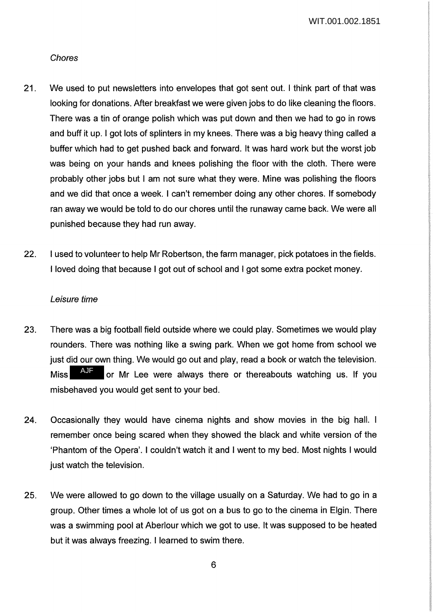#### Chores

- 21. We used to put newsletters into envelopes that got sent out. I think part of that was looking for donations. After breakfast we were given jobs to do like cleaning the floors. There was a tin of orange polish which was put down and then we had to go in rows and buff it up. I got lots of splinters in my knees. There was a big heavy thing called a buffer which had to get pushed back and forward. It was hard work but the worst job was being on your hands and knees polishing the floor with the cloth. There were probably other jobs but I am not sure what they were. Mine was polishing the floors and we did that once a week. I can't remember doing any other chores. If somebody ran away we would be told to do our chores until the runaway came back. We were all punished because they had run away.
- 22. I used to volunteer to help Mr Robertson, the farm manager, pick potatoes in the fields. I loved doing that because I got out of school and I got some extra pocket money.

### Leisure time

- 23. There was a big football field outside where we could play. Sometimes we would play rounders. There was nothing like a swing park. When we got home from school we just did our own thing. We would go out and play, read a book or watch the television. Miss  $A<sup>U</sup>$  or Mr Lee were always there or thereabouts watching us. If you misbehaved you would get sent to your bed. AJF
- 24. Occasionally they would have cinema nights and show movies in the big hall. I remember once being scared when they showed the black and white version of the 'Phantom of the Opera'. I couldn't watch it and I went to my bed. Most nights I would just watch the television.
- 25. We were allowed to go down to the village usually on a Saturday. We had to go in a group. Other times a whole lot of us got on a bus to go to the cinema in Elgin. There was a swimming pool at Aberlour which we got to use. It was supposed to be heated but it was always freezing. I learned to swim there.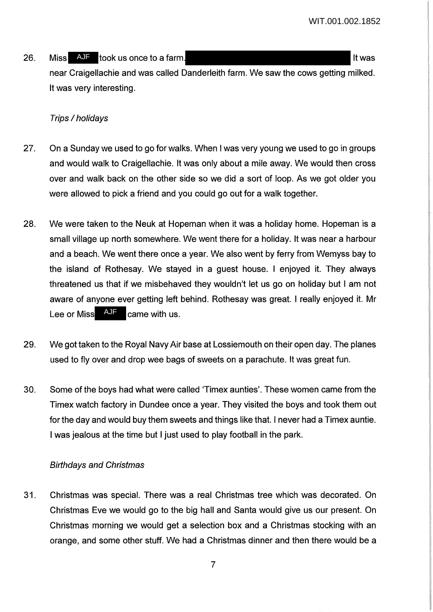26. Miss AJF took us once to a farm. It was in the same of the set of the set of the set of the set of the set o near Craigellachie and was called Danderleith farm. We saw the cows getting milked. It was very interesting.

### Trips / holidays

- 27. On a Sunday we used to go for walks. When I was very young we used to go in groups and would walk to Craigellachie. It was only about a mile away. We would then cross over and walk back on the other side so we did a sort of loop. As we got older you were allowed to pick a friend and you could go out for a walk together.
- 28. We were taken to the Neuk at Hopeman when it was a holiday home. Hopeman is a small village up north somewhere. We went there for a holiday. It was near a harbour and a beach. We went there once a year. We also went by ferry from Wemyss bay to the island of Rothesay. We stayed in a guest house. I enjoyed it. They always threatened us that if we misbehaved they wouldn't let us go on holiday but I am not aware of anyone ever getting left behind. Rothesay was great. I really enjoyed it. Mr Lee or Miss  $A\overline{AB}$  came with us. AJF
- 29. We got taken to the Royal Navy Air base at Lossiemouth on their open day. The planes used to fly over and drop wee bags of sweets on a parachute. It was great fun.
- 30. Some of the boys had what were called 'Timex aunties'. These women came from the Timex watch factory in Dundee once a year. They visited the boys and took them out for the day and would buy them sweets and things like that. I never had a Timex auntie. I was jealous at the time but I just used to play football in the park.

#### Birthdays and Christmas

31. Christmas was special. There was a real Christmas tree which was decorated. On Christmas Eve we would go to the big hall and Santa would give us our present. On Christmas morning we would get a selection box and a Christmas stocking with an orange, and some other stuff. We had a Christmas dinner and then there would be a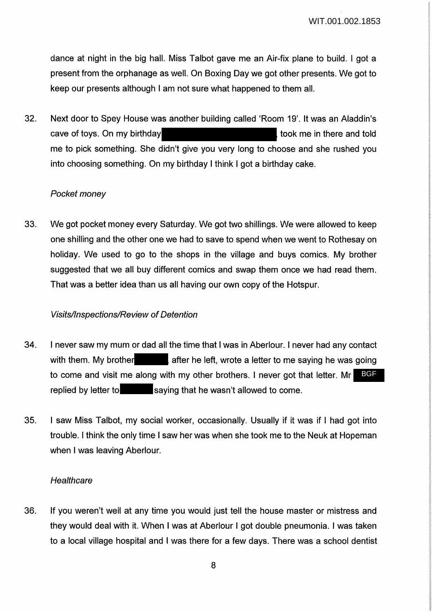dance at night in the big hall. Miss Talbot gave me an Air-fix plane to build. I got a present from the orphanage as well. On Boxing Day we got other presents. We got to keep our presents although I am not sure what happened to them all.

32. Next door to Spey House was another building called 'Room 19'. It was an Aladdin's cave of toys. On my birthday to the same in there and told cave of took me in there and told me to pick something. She didn't give you very long to choose and she rushed you into choosing something. On my birthday I think I got a birthday cake.

#### Pocket money

33. We got pocket money every Saturday. We got two shillings. We were allowed to keep one shilling and the other one we had to save to spend when we went to Rothesay on holiday. We used to go to the shops in the village and buys comics. My brother suggested that we all buy different comics and swap them once we had read them. That was a better idea than us all having our own copy of the Hotspur.

#### Visits/Inspections/Review of Detention

- 34. I never saw my mum or dad all the time that I was in Aberlour. I never had any contact with them. My brother a fter he left, wrote a letter to me saying he was going to come and visit me along with my other brothers. I never got that letter. Mr BGFreplied by letter to saying that he wasn't allowed to come.
- 35. I saw Miss Talbot, my social worker, occasionally. Usually if it was if I had got into trouble. I think the only time I saw her was when she took me to the Neuk at Hapeman when I was leaving Aberlour.

#### **Healthcare**

36. If you weren't well at any time you would just tell the house master or mistress and they would deal with it. When I was at Aberlour I got double pneumonia. I was taken to a local village hospital and I was there for a few days. There was a school dentist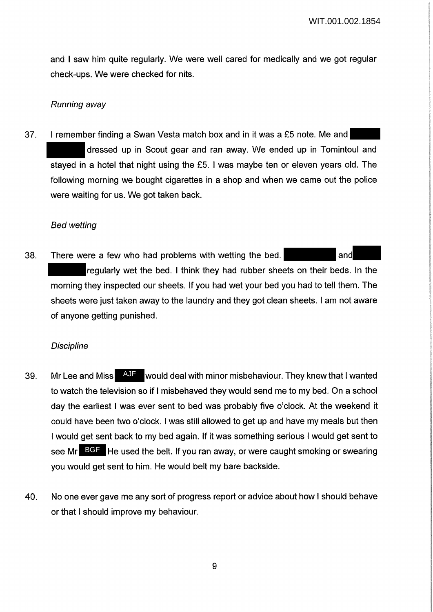and I saw him quite regularly. We were well cared for medically and we got regular check-ups. We were checked for nits.

### Running away

37. I remember finding a Swan Vesta match box and in it was a £5 note. Me and dressed up in Scout gear and ran away. We ended up in Tomintoul and stayed in a hotel that night using the £5. I was maybe ten or eleven years old. The following morning we bought cigarettes in a shop and when we came out the police were waiting for us. We got taken back.

### Bed wetting

38. There were a few who had problems with wetting the bed. regularly wet the bed. I think they had rubber sheets on their beds. In the morning they inspected our sheets. If you had wet your bed you had to tell them. The sheets were just taken away to the laundry and they got clean sheets. I am not aware of anyone getting punished.

## **Discipline**

- 39. Mr Lee and Miss **AUF** would deal with minor misbehaviour. They knew that I wanted to watch the television so if I misbehaved they would send me to my bed. On a school day the earliest I was ever sent to bed was probably five o'clock. At the weekend it could have been two o'clock. I was still allowed to get up and have my meals but then I would get sent back to my bed again. If it was something serious I would get sent to see Mr BGF He used the belt. If you ran away, or were caught smoking or swearing you would get sent to him. He would belt my bare backside.
- 40. No one ever gave me any sort of progress report or advice about how I should behave or that I should improve my behaviour.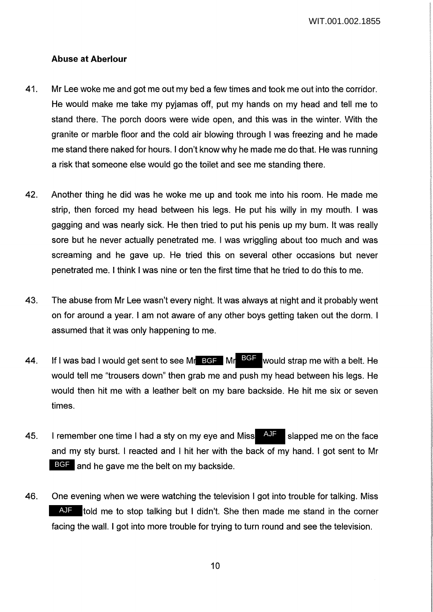### **Abuse at Aberlour**

- 41. Mr Lee woke me and got me out my bed a few times and took me out into the corridor. He would make me take my pyjamas off, put my hands on my head and tell me to stand there. The porch doors were wide open, and this was in the winter. With the granite or marble floor and the cold air blowing through I was freezing and he made me stand there naked for hours. I don't know why he made me do that. He was running a risk that someone else would go the toilet and see me standing there.
- 42. Another thing he did was he woke me up and took me into his room. He made me strip, then forced my head between his legs. He put his willy in my mouth. I was gagging and was nearly sick. He then tried to put his penis up my bum. It was really sore but he never actually penetrated me. I was wriggling about too much and was screaming and he gave up. He tried this on several other occasions but never penetrated me. I think I was nine or ten the first time that he tried to do this to me.
- 43. The abuse from Mr Lee wasn't every night. It was always at night and it probably went on for around a year. I am not aware of any other boys getting taken out the dorm. I assumed that it was only happening to me.
- 44. If I was bad I would get sent to see Mr BGF Mr BGF would strap me with a belt. He would tell me "trousers down" then grab me and push my head between his legs. He would then hit me with a leather belt on my bare backside. He hit me six or seven times.
- 45. I remember one time I had a sty on my eye and Miss  $\mathbb{A}^{\mathsf{U}\mathsf{F}}$  slapped me on the face and my sty burst. I reacted and I hit her with the back of my hand. I got sent to Mr BGF and he gave me the belt on my backside.
- 46. One evening when we were watching the television I got into trouble for talking. Miss AJF told me to stop talking but I didn't. She then made me stand in the corner facing the wall. I got into more trouble for trying to turn round and see the television.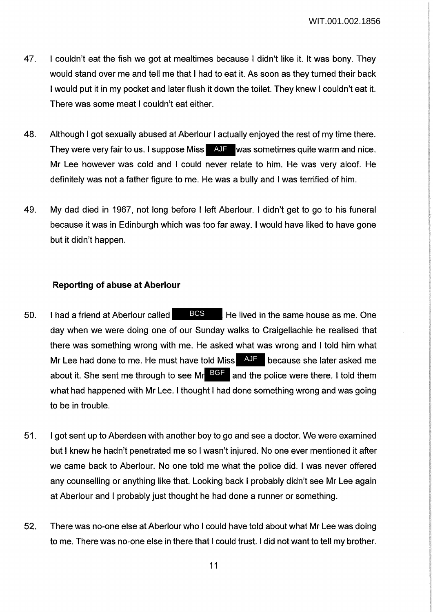- 47. I couldn't eat the fish we got at mealtimes because I didn't like it. It was bony. They would stand over me and tell me that I had to eat it. As soon as they turned their back I would put it in my pocket and later flush it down the toilet. They knew I couldn't eat it. There was some meat I couldn't eat either.
- 48. Although I got sexually abused at Aberlour I actually enjoyed the rest of my time there. They were very fair to us. I suppose Miss AJF was sometimes quite warm and nice. Mr Lee however was cold and I could never relate to him. He was very aloof. He definitely was not a father figure to me. He was a bully and I was terrified of him.
- 49. My dad died in 1967, not long before I left Aberlour. I didn't get to go to his funeral because it was in Edinburgh which was too far away. I would have liked to have gone but it didn't happen.

## **Reporting of abuse at Aberlour**

- 50. I had a friend at Aberlour called  $BCS$  He lived in the same house as me. One day when we were doing one of our Sunday walks to Craigellachie he realised that there was something wrong with me. He asked what was wrong and I told him what Mr Lee had done to me. He must have told Miss  $\overline{A\cup F}$  because she later asked me about it. She sent me through to see Mr BGF and the police were there. I told them what had happened with Mr Lee. I thought I had done something wrong and was going to be in trouble.
- 51. I got sent up to Aberdeen with another boy to go and see a doctor. We were examined but I knew he hadn't penetrated me so I wasn't injured. No one ever mentioned it after we came back to Aberlour. No one told me what the police did. I was never offered any counselling or anything like that. Looking back I probably didn't see Mr Lee again at Aberlour and I probably just thought he had done a runner or something.
- 52. There was no-one else at Aberlour who I could have told about what Mr Lee was doing to me. There was no-one else in there that I could trust. I did not want to tell my brother.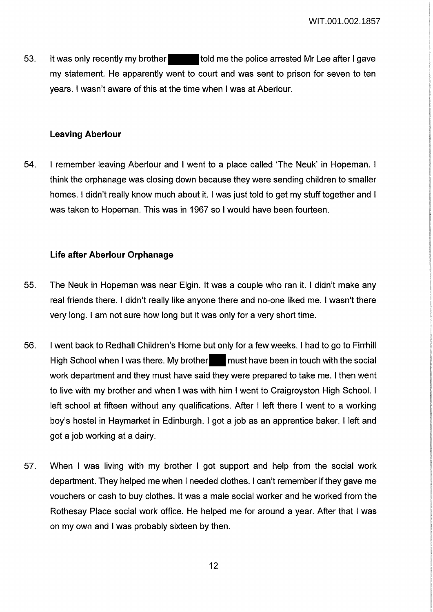53. It was only recently my brother told me the police arrested Mr Lee after I gave my statement. He apparently went to court and was sent to prison for seven to ten years. I wasn't aware of this at the time when I was at Aberlour.

### **Leaving Aberlour**

54. I remember leaving Aberlour and I went to a place called 'The Neuk' in Hapeman. I think the orphanage was closing down because they were sending children to smaller homes. I didn't really know much about it. I was just told to get my stuff together and I was taken to Hopeman. This was in 1967 so I would have been fourteen.

## **Life after Aberlour Orphanage**

- 55. The Neuk in Hopeman was near Elgin. It was a couple who ran it. I didn't make any real friends there. I didn't really like anyone there and no-one liked me. I wasn't there very long. I am not sure how long but it was only for a very short time.
- 56. I went back to Redhall Children's Home but only for a few weeks. I had to go to Firrhill High School when I was there. My brother must have been in touch with the social work department and they must have said they were prepared to take me. I then went to live with my brother and when I was with him I went to Craigroyston High School. I left school at fifteen without any qualifications. After I left there I went to a working boy's hostel in Haymarket in Edinburgh. I got a job as an apprentice baker. I left and got a job working at a dairy.
- 57. When I was living with my brother I got support and help from the social work department. They helped me when I needed clothes. I can't remember if they gave me vouchers or cash to buy clothes. It was a male social worker and he worked from the Rothesay Place social work office. He helped me for around a year. After that I was on my own and I was probably sixteen by then.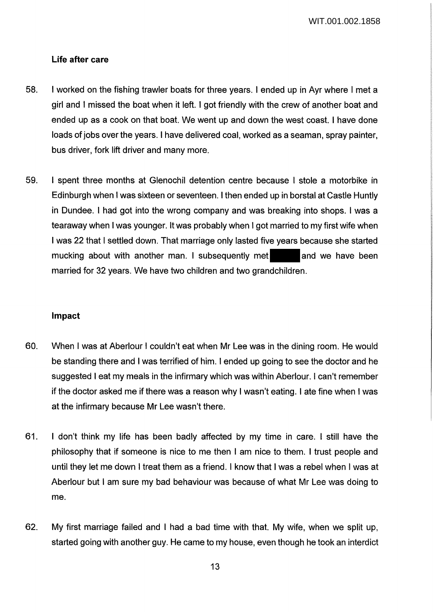### **Life after care**

- 58. I worked on the fishing trawler boats for three years. I ended up in Ayr where I met a girl and I missed the boat when it left. I got friendly with the crew of another boat and ended up as a cook on that boat. We went up and down the west coast. I have done loads of jobs over the years. I have delivered coal, worked as a seaman, spray painter, bus driver, fork lift driver and many more.
- 59. I spent three months at Glenochil detention centre because I stole a motorbike in Edinburgh when I was sixteen or seventeen. I then ended up in borstal at Castle Huntly in Dundee. I had got into the wrong company and was breaking into shops. I was a tearaway when I was younger. It was probably when I got married to my first wife when I was 22 that I settled down. That marriage only lasted five years because she started mucking about with another man. I subsequently met and we have been married for 32 years. We have two children and two grandchildren.

#### **Impact**

- 60. When I was at Aberlour I couldn't eat when Mr Lee was in the dining room. He would be standing there and I was terrified of him. I ended up going to see the doctor and he suggested I eat my meals in the infirmary which was within Aberlour. I can't remember if the doctor asked me if there was a reason why I wasn't eating. I ate fine when I was at the infirmary because Mr Lee wasn't there.
- 61. I don't think my life has been badly affected by my time in care. I still have the philosophy that if someone is nice to me then I am nice to them. I trust people and until they let me down I treat them as a friend. I know that I was a rebel when I was at Aberlour but I am sure my bad behaviour was because of what Mr Lee was doing to me.
- 62. My first marriage failed and I had a bad time with that. My wife, when we split up, started going with another guy. He came to my house, even though he took an interdict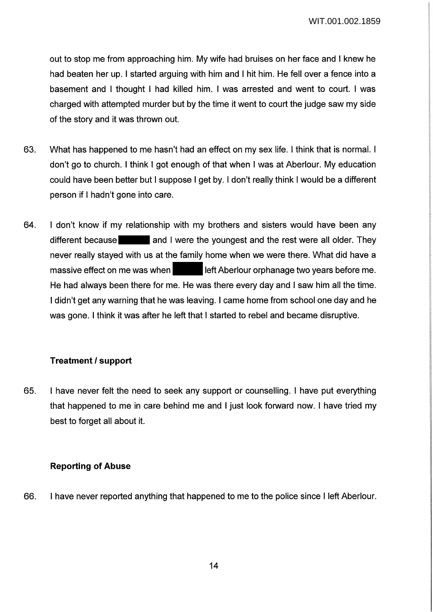out to stop me from approaching him. My wife had bruises on her face and I knew he had beaten her up. I started arguing with him and I hit him. He fell over a fence into a basement and I thought I had killed him. I was arrested and went to court. I was charged with attempted murder but by the time it went to court the judge saw my side of the story and it was thrown out.

- 63. What has happened to me hasn't had an effect on my sex life. I think that is normal. I don't go to church. I think I got enough of that when I was at Aberlour. My education could have been better but I suppose I get by. I don't really think I would be a different person if I hadn't gone into care.
- 64. I don't know if my relationship with my brothers and sisters would have been any different because and I were the youngest and the rest were all older. They never really stayed with us at the family home when we were there. What did have a massive effect on me was when **left Aberlour orphanage two years before me.** He had always been there for me. He was there every day and I saw him all the time. I didn't get any warning that he was leaving. I came home from school one day and he was gone. I think it was after he left that I started to rebel and became disruptive.

## **Treatment I support**

65. I have never felt the need to seek any support or counselling. I have put everything that happened to me in care behind me and I just look forward now. I have tried my best to forget all about it.

## **Reporting of Abuse**

66. I have never reported anything that happened to me to the police since I left Aberlour.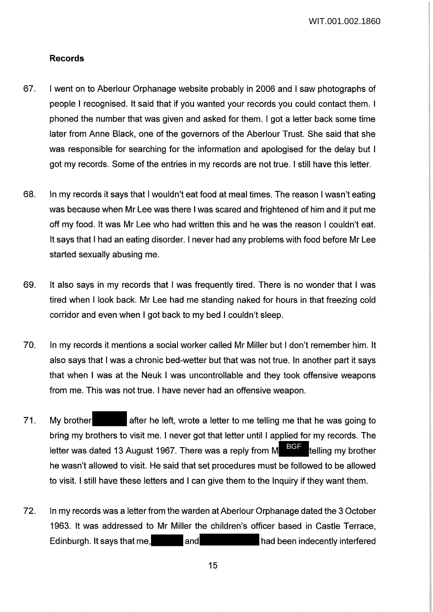### **Records**

- 67. I went on to Aberlour Orphanage website probably in 2006 and I saw photographs of people I recognised. It said that if you wanted your records you could contact them. I phoned the number that was given and asked for them. I got a letter back some time later from Anne Black, one of the governors of the Aberlour Trust. She said that she was responsible for searching for the information and apologised for the delay but I got my records. Some of the entries in my records are not true. I still have this letter.
- 68. In my records it says that I wouldn't eat food at meal times. The reason I wasn't eating was because when Mr Lee was there I was scared and frightened of him and it put me off my food. It was Mr Lee who had written this and he was the reason I couldn't eat. It says that I had an eating disorder. I never had any problems with food before Mr Lee started sexually abusing me.
- 69. It also says in my records that I was frequently tired. There is no wonder that I was tired when I look back. Mr Lee had me standing naked for hours in that freezing cold corridor and even when I got back to my bed I couldn't sleep.
- 70. In my records it mentions a social worker called Mr Miller but I don't remember him. It also says that I was a chronic bed-wetter but that was not true. In another part it says that when I was at the Neuk I was uncontrollable and they took offensive weapons from me. This was not true. I have never had an offensive weapon.
- 71. My brother after he left, wrote a letter to me telling me that he was going to bring my brothers to visit me. I never got that letter until I applied for my records. The letter was dated 13 August 1967. There was a reply from M  $\overline{B}\overline{G}$  telling my brother he wasn't allowed to visit. He said that set procedures must be followed to be allowed to visit. I still have these letters and I can give them to the Inquiry if they want them.
- 72. In my records was a letter from the warden at Aberlour Orphanage dated the 3 October 1963. It was addressed to Mr Miller the children's officer based in Castle Terrace, Edinburgh. It says that me, and had been indecently interfered